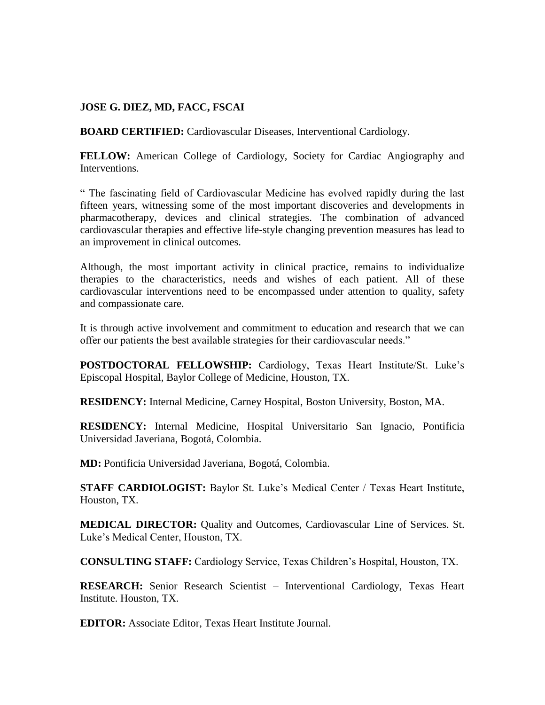# **JOSE G. DIEZ, MD, FACC, FSCAI**

**BOARD CERTIFIED:** Cardiovascular Diseases, Interventional Cardiology.

**FELLOW:** American College of Cardiology, Society for Cardiac Angiography and Interventions.

" The fascinating field of Cardiovascular Medicine has evolved rapidly during the last fifteen years, witnessing some of the most important discoveries and developments in pharmacotherapy, devices and clinical strategies. The combination of advanced cardiovascular therapies and effective life-style changing prevention measures has lead to an improvement in clinical outcomes.

Although, the most important activity in clinical practice, remains to individualize therapies to the characteristics, needs and wishes of each patient. All of these cardiovascular interventions need to be encompassed under attention to quality, safety and compassionate care.

It is through active involvement and commitment to education and research that we can offer our patients the best available strategies for their cardiovascular needs."

**POSTDOCTORAL FELLOWSHIP:** Cardiology, Texas Heart Institute/St. Luke's Episcopal Hospital, Baylor College of Medicine, Houston, TX.

**RESIDENCY:** Internal Medicine, Carney Hospital, Boston University, Boston, MA.

**RESIDENCY:** Internal Medicine, Hospital Universitario San Ignacio, Pontificia Universidad Javeriana, Bogotá, Colombia.

**MD:** Pontificia Universidad Javeriana, Bogotá, Colombia.

**STAFF CARDIOLOGIST:** Baylor St. Luke's Medical Center / Texas Heart Institute, Houston, TX.

**MEDICAL DIRECTOR:** Quality and Outcomes, Cardiovascular Line of Services. St. Luke's Medical Center, Houston, TX.

**CONSULTING STAFF:** Cardiology Service, Texas Children's Hospital, Houston, TX.

**RESEARCH:** Senior Research Scientist – Interventional Cardiology, Texas Heart Institute. Houston, TX.

**EDITOR:** Associate Editor, Texas Heart Institute Journal.